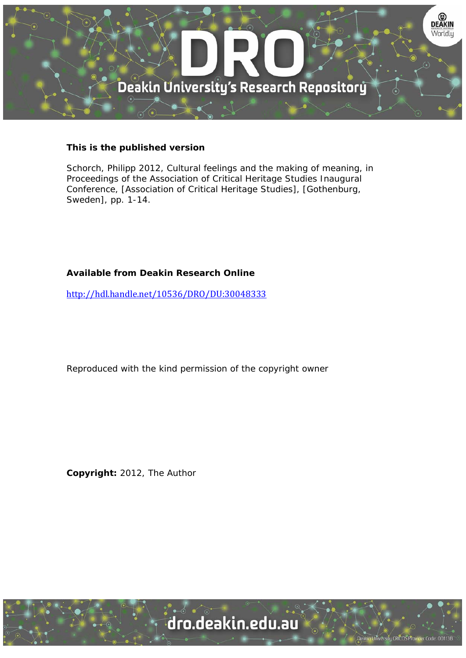

## **This is the published version**

Schorch, Philipp 2012, Cultural feelings and the making of meaning, in Proceedings of the Association of Critical Heritage Studies Inaugural Conference, [Association of Critical Heritage Studies], [Gothenburg, Sweden], pp. 1-14.

# **Available from Deakin Research Online**

http://hdl.handle.net/10536/DRO/DU:30048333

Reproduced with the kind permission of the copyright owner

**Copyright:** 2012, The Author

University CRICOS Provider Code: 00113B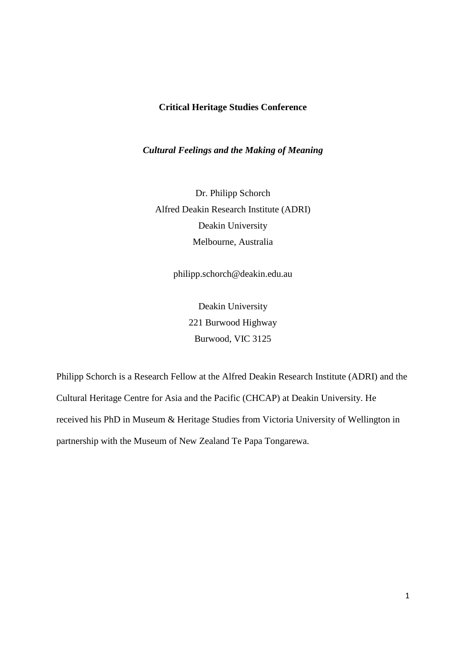### **Critical Heritage Studies Conference**

*Cultural Feelings and the Making of Meaning*

Dr. Philipp Schorch Alfred Deakin Research Institute (ADRI) Deakin University Melbourne, Australia

philipp.schorch@deakin.edu.au

Deakin University 221 Burwood Highway Burwood, VIC 3125

Philipp Schorch is a Research Fellow at the Alfred Deakin Research Institute (ADRI) and the Cultural Heritage Centre for Asia and the Pacific (CHCAP) at Deakin University. He received his PhD in Museum & Heritage Studies from Victoria University of Wellington in partnership with the Museum of New Zealand Te Papa Tongarewa.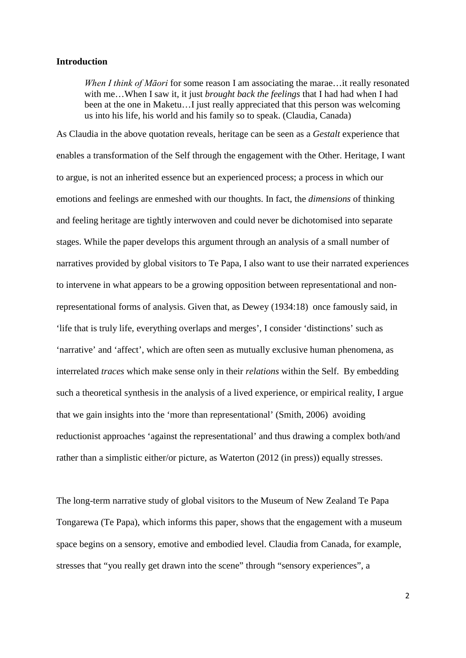#### **Introduction**

*When I think of Māori* for some reason I am associating the marae…it really resonated with me…When I saw it, it just *brought back the feelings* that I had had when I had been at the one in Maketu…I just really appreciated that this person was welcoming us into his life, his world and his family so to speak. (Claudia, Canada)

As Claudia in the above quotation reveals, heritage can be seen as a *Gestalt* experience that enables a transformation of the Self through the engagement with the Other. Heritage, I want to argue, is not an inherited essence but an experienced process; a process in which our emotions and feelings are enmeshed with our thoughts. In fact, the *dimensions* of thinking and feeling heritage are tightly interwoven and could never be dichotomised into separate stages. While the paper develops this argument through an analysis of a small number of narratives provided by global visitors to Te Papa, I also want to use their narrated experiences to intervene in what appears to be a growing opposition between representational and nonrepresentational forms of analysis. Given that, as Dewey (1934:18) once famously said, in 'life that is truly life, everything overlaps and merges', I consider 'distinctions' such as 'narrative' and 'affect', which are often seen as mutually exclusive human phenomena, as interrelated *traces* which make sense only in their *relations* within the Self. By embedding such a theoretical synthesis in the analysis of a lived experience, or empirical reality, I argue that we gain insights into the 'more than representational' [\(Smith, 2006\)](#page-13-0) avoiding reductionist approaches 'against the representational' and thus drawing a complex both/and rather than a simplistic either/or picture, as Waterton [\(2012 \(in press\)\)](#page-13-1) equally stresses.

The long-term narrative study of global visitors to the Museum of New Zealand Te Papa Tongarewa (Te Papa), which informs this paper, shows that the engagement with a museum space begins on a sensory, emotive and embodied level. Claudia from Canada, for example, stresses that "you really get drawn into the scene" through "sensory experiences", a

2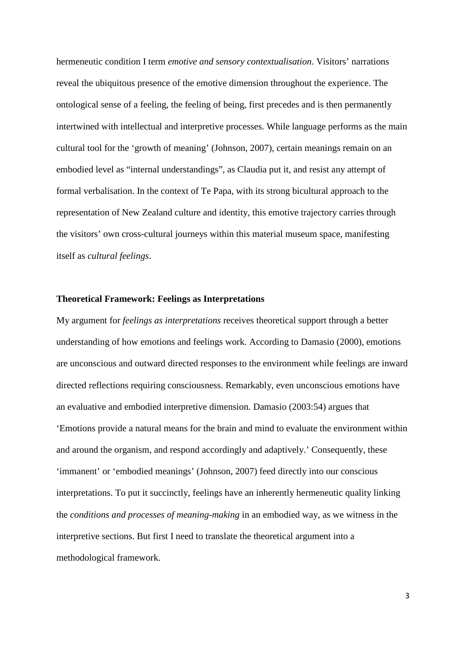hermeneutic condition I term *emotive and sensory contextualisation*. Visitors' narrations reveal the ubiquitous presence of the emotive dimension throughout the experience. The ontological sense of a feeling, the feeling of being, first precedes and is then permanently intertwined with intellectual and interpretive processes. While language performs as the main cultural tool for the 'growth of meaning' [\(Johnson, 2007\)](#page-13-2), certain meanings remain on an embodied level as "internal understandings", as Claudia put it, and resist any attempt of formal verbalisation. In the context of Te Papa, with its strong bicultural approach to the representation of New Zealand culture and identity, this emotive trajectory carries through the visitors' own cross-cultural journeys within this material museum space, manifesting itself as *cultural feelings*.

#### **Theoretical Framework: Feelings as Interpretations**

My argument for *feelings as interpretations* receives theoretical support through a better understanding of how emotions and feelings work. According to Damasio [\(2000\)](#page-12-0), emotions are unconscious and outward directed responses to the environment while feelings are inward directed reflections requiring consciousness. Remarkably, even unconscious emotions have an evaluative and embodied interpretive dimension. Damasio [\(2003:54\)](#page-12-1) argues that 'Emotions provide a natural means for the brain and mind to evaluate the environment within and around the organism, and respond accordingly and adaptively.' Consequently, these 'immanent' or 'embodied meanings' [\(Johnson, 2007\)](#page-13-2) feed directly into our conscious interpretations. To put it succinctly, feelings have an inherently hermeneutic quality linking the *conditions and processes of meaning-making* in an embodied way, as we witness in the interpretive sections. But first I need to translate the theoretical argument into a methodological framework.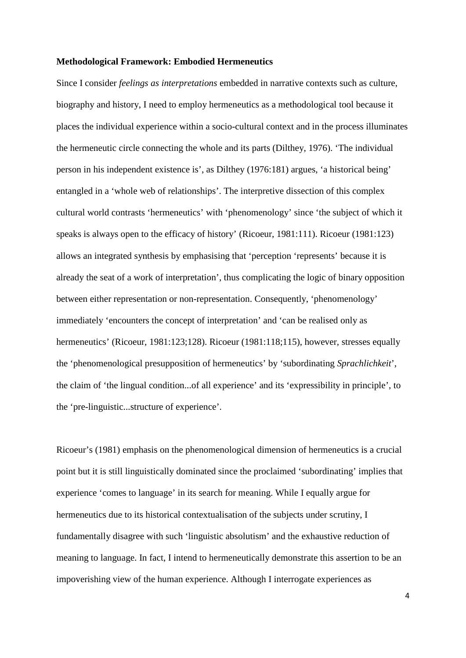#### **Methodological Framework: Embodied Hermeneutics**

Since I consider *feelings as interpretations* embedded in narrative contexts such as culture, biography and history, I need to employ hermeneutics as a methodological tool because it places the individual experience within a socio-cultural context and in the process illuminates the hermeneutic circle connecting the whole and its parts [\(Dilthey, 1976\)](#page-12-2). 'The individual person in his independent existence is', as Dilthey [\(1976:181\)](#page-12-2) argues, 'a historical being' entangled in a 'whole web of relationships'. The interpretive dissection of this complex cultural world contrasts 'hermeneutics' with 'phenomenology' since 'the subject of which it speaks is always open to the efficacy of history' [\(Ricoeur, 1981:111\)](#page-13-3). Ricoeur [\(1981:123\)](#page-13-3) allows an integrated synthesis by emphasising that 'perception 'represents' because it is already the seat of a work of interpretation', thus complicating the logic of binary opposition between either representation or non-representation. Consequently, 'phenomenology' immediately 'encounters the concept of interpretation' and 'can be realised only as hermeneutics' [\(Ricoeur, 1981:123;128\)](#page-13-3). Ricoeur [\(1981:118;115\)](#page-13-3), however, stresses equally the 'phenomenological presupposition of hermeneutics' by 'subordinating *Sprachlichkeit*', the claim of 'the lingual condition...of all experience' and its 'expressibility in principle', to the 'pre-linguistic...structure of experience'.

Ricoeur's [\(1981\)](#page-13-3) emphasis on the phenomenological dimension of hermeneutics is a crucial point but it is still linguistically dominated since the proclaimed 'subordinating' implies that experience 'comes to language' in its search for meaning. While I equally argue for hermeneutics due to its historical contextualisation of the subjects under scrutiny, I fundamentally disagree with such 'linguistic absolutism' and the exhaustive reduction of meaning to language. In fact, I intend to hermeneutically demonstrate this assertion to be an impoverishing view of the human experience. Although I interrogate experiences as

4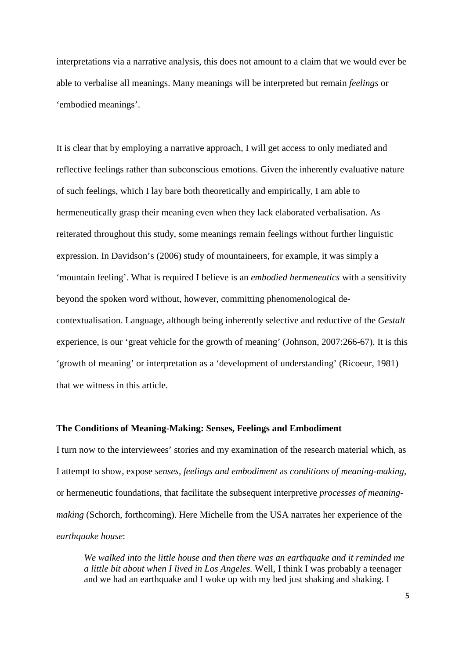interpretations via a narrative analysis, this does not amount to a claim that we would ever be able to verbalise all meanings. Many meanings will be interpreted but remain *feelings* or 'embodied meanings'.

It is clear that by employing a narrative approach, I will get access to only mediated and reflective feelings rather than subconscious emotions. Given the inherently evaluative nature of such feelings, which I lay bare both theoretically and empirically, I am able to hermeneutically grasp their meaning even when they lack elaborated verbalisation. As reiterated throughout this study, some meanings remain feelings without further linguistic expression. In Davidson's [\(2006\)](#page-12-3) study of mountaineers, for example, it was simply a 'mountain feeling'. What is required I believe is an *embodied hermeneutics* with a sensitivity beyond the spoken word without, however, committing phenomenological decontextualisation. Language, although being inherently selective and reductive of the *Gestalt*  experience, is our 'great vehicle for the growth of meaning' [\(Johnson, 2007:266-67\)](#page-13-2). It is this 'growth of meaning' or interpretation as a 'development of understanding' [\(Ricoeur, 1981\)](#page-13-3) that we witness in this article.

#### **The Conditions of Meaning-Making: Senses, Feelings and Embodiment**

I turn now to the interviewees' stories and my examination of the research material which, as I attempt to show, expose *senses, feelings and embodiment* as *conditions of meaning-making*, or hermeneutic foundations, that facilitate the subsequent interpretive *processes of meaningmaking* [\(Schorch, forthcoming\)](#page-13-4). Here Michelle from the USA narrates her experience of the *earthquake house*:

*We walked into the little house and then there was an earthquake and it reminded me a little bit about when I lived in Los Angeles.* Well, I think I was probably a teenager and we had an earthquake and I woke up with my bed just shaking and shaking. I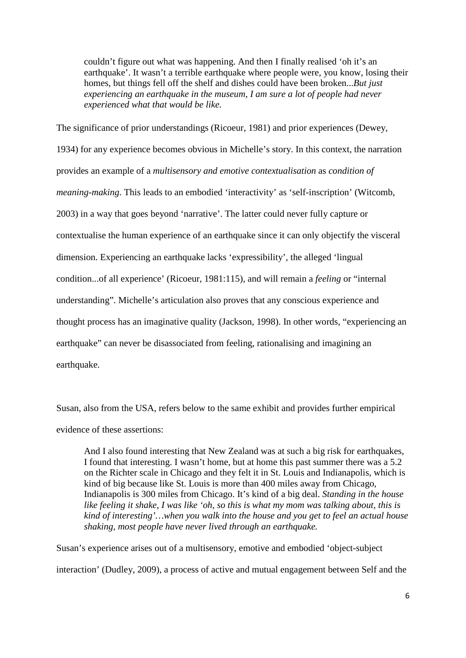couldn't figure out what was happening. And then I finally realised 'oh it's an earthquake'. It wasn't a terrible earthquake where people were, you know, losing their homes, but things fell off the shelf and dishes could have been broken...*But just experiencing an earthquake in the museum, I am sure a lot of people had never experienced what that would be like.*

The significance of prior understandings [\(Ricoeur, 1981\)](#page-13-3) and prior experiences [\(Dewey,](#page-12-4)  [1934\)](#page-12-4) for any experience becomes obvious in Michelle's story. In this context, the narration provides an example of a *multisensory and emotive contextualisation* as *condition of meaning-making*. This leads to an embodied 'interactivity' as 'self-inscription' [\(Witcomb,](#page-13-5)  [2003\)](#page-13-5) in a way that goes beyond 'narrative'. The latter could never fully capture or contextualise the human experience of an earthquake since it can only objectify the visceral dimension. Experiencing an earthquake lacks 'expressibility', the alleged 'lingual condition...of all experience' [\(Ricoeur, 1981:115\)](#page-13-3), and will remain a *feeling* or "internal understanding". Michelle's articulation also proves that any conscious experience and thought process has an imaginative quality [\(Jackson, 1998\)](#page-13-6). In other words, "experiencing an earthquake" can never be disassociated from feeling, rationalising and imagining an earthquake.

Susan, also from the USA, refers below to the same exhibit and provides further empirical evidence of these assertions:

And I also found interesting that New Zealand was at such a big risk for earthquakes, I found that interesting. I wasn't home, but at home this past summer there was a 5.2 on the Richter scale in Chicago and they felt it in St. Louis and Indianapolis, which is kind of big because like St. Louis is more than 400 miles away from Chicago, Indianapolis is 300 miles from Chicago. It's kind of a big deal. *Standing in the house like feeling it shake, I was like 'oh, so this is what my mom was talking about, this is kind of interesting'…when you walk into the house and you get to feel an actual house shaking, most people have never lived through an earthquake.*

Susan's experience arises out of a multisensory, emotive and embodied 'object-subject interaction' [\(Dudley, 2009\)](#page-12-5), a process of active and mutual engagement between Self and the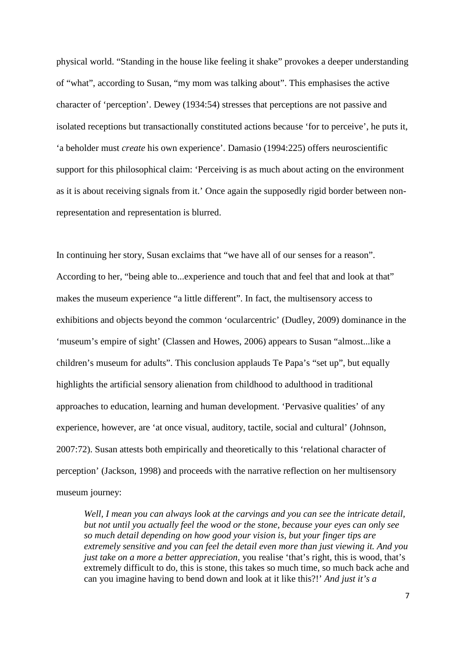physical world. "Standing in the house like feeling it shake" provokes a deeper understanding of "what", according to Susan, "my mom was talking about". This emphasises the active character of 'perception'. Dewey [\(1934:54\)](#page-12-4) stresses that perceptions are not passive and isolated receptions but transactionally constituted actions because 'for to perceive', he puts it, 'a beholder must *create* his own experience'. Damasio [\(1994:225\)](#page-12-6) offers neuroscientific support for this philosophical claim: 'Perceiving is as much about acting on the environment as it is about receiving signals from it.' Once again the supposedly rigid border between nonrepresentation and representation is blurred.

In continuing her story, Susan exclaims that "we have all of our senses for a reason". According to her, "being able to...experience and touch that and feel that and look at that" makes the museum experience "a little different". In fact, the multisensory access to exhibitions and objects beyond the common 'ocularcentric' [\(Dudley, 2009\)](#page-12-5) dominance in the 'museum's empire of sight' [\(Classen and Howes, 2006\)](#page-12-7) appears to Susan "almost...like a children's museum for adults". This conclusion applauds Te Papa's "set up", but equally highlights the artificial sensory alienation from childhood to adulthood in traditional approaches to education, learning and human development. 'Pervasive qualities' of any experience, however, are 'at once visual, auditory, tactile, social and cultural' [\(Johnson,](#page-13-2)  [2007:72\)](#page-13-2). Susan attests both empirically and theoretically to this 'relational character of perception' [\(Jackson, 1998\)](#page-13-6) and proceeds with the narrative reflection on her multisensory museum journey:

*Well, I mean you can always look at the carvings and you can see the intricate detail, but not until you actually feel the wood or the stone, because your eyes can only see so much detail depending on how good your vision is, but your finger tips are extremely sensitive and you can feel the detail even more than just viewing it. And you just take on a more a better appreciation,* you realise 'that's right, this is wood, that's extremely difficult to do, this is stone, this takes so much time, so much back ache and can you imagine having to bend down and look at it like this?!' *And just it's a*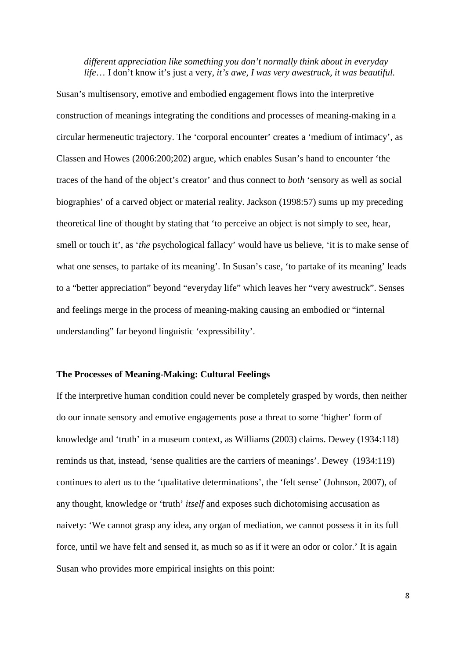*different appreciation like something you don't normally think about in everyday life*… I don't know it's just a very, *it's awe, I was very awestruck, it was beautiful.*

Susan's multisensory, emotive and embodied engagement flows into the interpretive construction of meanings integrating the conditions and processes of meaning-making in a circular hermeneutic trajectory. The 'corporal encounter' creates a 'medium of intimacy', as Classen and Howes [\(2006:200;202\)](#page-12-7) argue, which enables Susan's hand to encounter 'the traces of the hand of the object's creator' and thus connect to *both* 'sensory as well as social biographies' of a carved object or material reality. Jackson [\(1998:57\)](#page-13-6) sums up my preceding theoretical line of thought by stating that 'to perceive an object is not simply to see, hear, smell or touch it', as '*the* psychological fallacy' would have us believe, 'it is to make sense of what one senses, to partake of its meaning'. In Susan's case, 'to partake of its meaning' leads to a "better appreciation" beyond "everyday life" which leaves her "very awestruck". Senses and feelings merge in the process of meaning-making causing an embodied or "internal understanding" far beyond linguistic 'expressibility'.

### **The Processes of Meaning-Making: Cultural Feelings**

If the interpretive human condition could never be completely grasped by words, then neither do our innate sensory and emotive engagements pose a threat to some 'higher' form of knowledge and 'truth' in a museum context, as Williams [\(2003\)](#page-13-7) claims. Dewey [\(1934:118\)](#page-12-4) reminds us that, instead, 'sense qualities are the carriers of meanings'. Dewey [\(1934:119\)](#page-12-4) continues to alert us to the 'qualitative determinations', the 'felt sense' [\(Johnson, 2007\)](#page-13-2), of any thought, knowledge or 'truth' *itself* and exposes such dichotomising accusation as naivety: 'We cannot grasp any idea, any organ of mediation, we cannot possess it in its full force, until we have felt and sensed it, as much so as if it were an odor or color.' It is again Susan who provides more empirical insights on this point: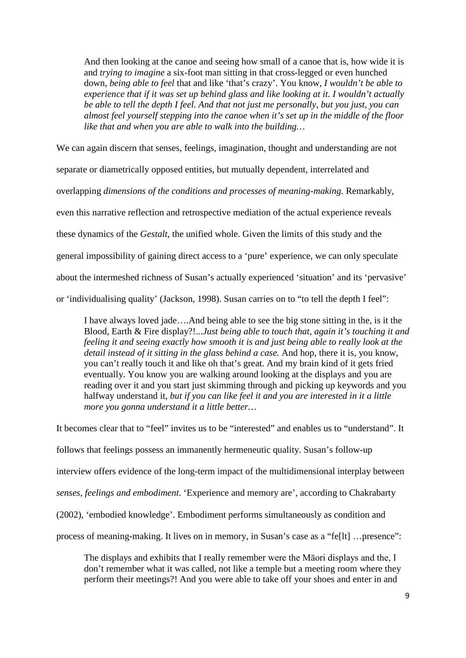And then looking at the canoe and seeing how small of a canoe that is, how wide it is and *trying to imagine* a six-foot man sitting in that cross-legged or even hunched down, *being able to feel* that and like 'that's crazy'. You know*, I wouldn't be able to experience that if it was set up behind glass and like looking at it. I wouldn't actually be able to tell the depth I feel. And that not just me personally, but you just, you can almost feel yourself stepping into the canoe when it's set up in the middle of the floor like that and when you are able to walk into the building…*

We can again discern that senses, feelings, imagination, thought and understanding are not separate or diametrically opposed entities, but mutually dependent, interrelated and overlapping *dimensions of the conditions and processes of meaning-making.* Remarkably, even this narrative reflection and retrospective mediation of the actual experience reveals these dynamics of the *Gestalt*, the unified whole. Given the limits of this study and the general impossibility of gaining direct access to a 'pure' experience, we can only speculate about the intermeshed richness of Susan's actually experienced 'situation' and its 'pervasive' or 'individualising quality' [\(Jackson, 1998\)](#page-13-6). Susan carries on to "to tell the depth I feel":

I have always loved jade….And being able to see the big stone sitting in the, is it the Blood, Earth & Fire display?!...*Just being able to touch that, again it's touching it and feeling it and seeing exactly how smooth it is and just being able to really look at the detail instead of it sitting in the glass behind a case.* And hop, there it is, you know, you can't really touch it and like oh that's great. And my brain kind of it gets fried eventually. You know you are walking around looking at the displays and you are reading over it and you start just skimming through and picking up keywords and you halfway understand it, *but if you can like feel it and you are interested in it a little more you gonna understand it a little better…*

It becomes clear that to "feel" invites us to be "interested" and enables us to "understand". It follows that feelings possess an immanently hermeneutic quality. Susan's follow-up interview offers evidence of the long-term impact of the multidimensional interplay between *senses, feelings and embodiment*. 'Experience and memory are', according to Chakrabarty [\(2002\)](#page-12-8), 'embodied knowledge'. Embodiment performs simultaneously as condition and process of meaning-making. It lives on in memory, in Susan's case as a "fe[lt] …presence":

The displays and exhibits that I really remember were the Māori displays and the, I don't remember what it was called, not like a temple but a meeting room where they perform their meetings?! And you were able to take off your shoes and enter in and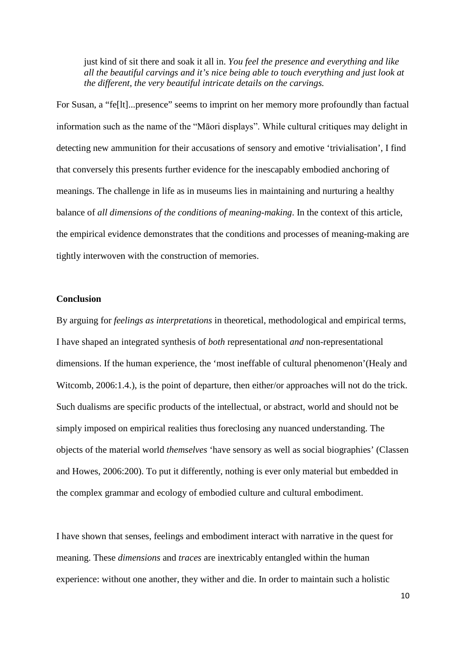just kind of sit there and soak it all in. *You feel the presence and everything and like all the beautiful carvings and it's nice being able to touch everything and just look at the different, the very beautiful intricate details on the carvings.*

For Susan, a "fe[lt]...presence" seems to imprint on her memory more profoundly than factual information such as the name of the "Māori displays". While cultural critiques may delight in detecting new ammunition for their accusations of sensory and emotive 'trivialisation', I find that conversely this presents further evidence for the inescapably embodied anchoring of meanings. The challenge in life as in museums lies in maintaining and nurturing a healthy balance of *all dimensions of the conditions of meaning-making*. In the context of this article, the empirical evidence demonstrates that the conditions and processes of meaning-making are tightly interwoven with the construction of memories.

### **Conclusion**

By arguing for *feelings as interpretations* in theoretical, methodological and empirical terms, I have shaped an integrated synthesis of *both* representational *and* non-representational dimensions. If the human experience, the 'most ineffable of cultural phenomenon'[\(Healy and](#page-13-8)  [Witcomb, 2006:1.4.\)](#page-13-8), is the point of departure, then either/or approaches will not do the trick. Such dualisms are specific products of the intellectual, or abstract, world and should not be simply imposed on empirical realities thus foreclosing any nuanced understanding. The objects of the material world *themselves* 'have sensory as well as social biographies' [\(Classen](#page-12-7)  [and Howes, 2006:200\)](#page-12-7). To put it differently, nothing is ever only material but embedded in the complex grammar and ecology of embodied culture and cultural embodiment.

I have shown that senses, feelings and embodiment interact with narrative in the quest for meaning. These *dimensions* and *traces* are inextricably entangled within the human experience: without one another, they wither and die. In order to maintain such a holistic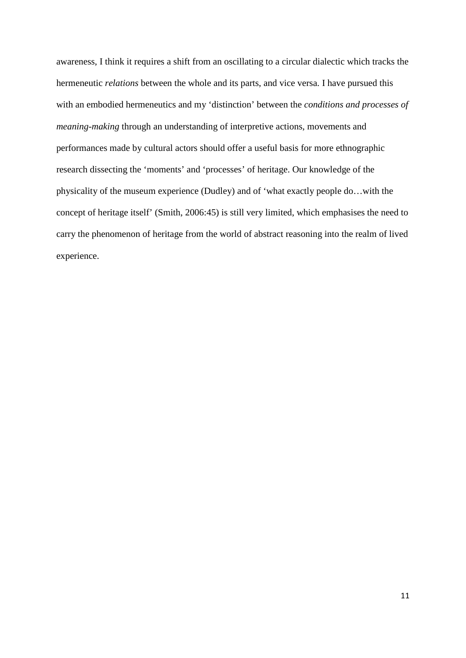awareness, I think it requires a shift from an oscillating to a circular dialectic which tracks the hermeneutic *relations* between the whole and its parts, and vice versa. I have pursued this with an embodied hermeneutics and my 'distinction' between the *conditions and processes of meaning-making* through an understanding of interpretive actions, movements and performances made by cultural actors should offer a useful basis for more ethnographic research dissecting the 'moments' and 'processes' of heritage. Our knowledge of the physicality of the museum experience (Dudley) and of 'what exactly people do…with the concept of heritage itself' [\(Smith, 2006:45\)](#page-13-0) is still very limited, which emphasises the need to carry the phenomenon of heritage from the world of abstract reasoning into the realm of lived experience.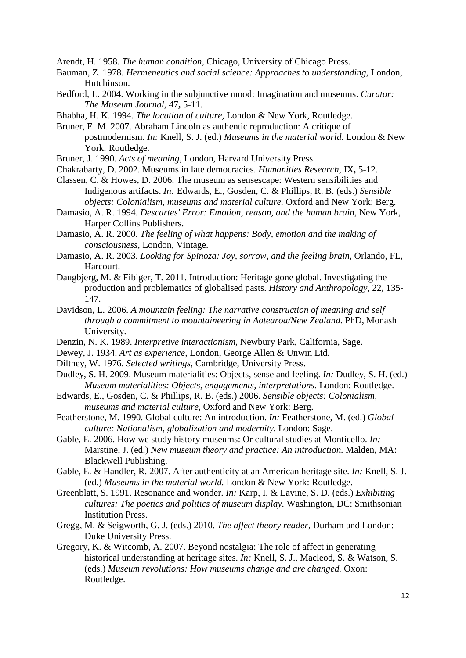Arendt, H. 1958. *The human condition,* Chicago, University of Chicago Press.

- Bauman, Z. 1978. *Hermeneutics and social science: Approaches to understanding,* London, Hutchinson.
- Bedford, L. 2004. Working in the subjunctive mood: Imagination and museums. *Curator: The Museum Journal,* 47**,** 5-11.
- Bhabha, H. K. 1994. *The location of culture,* London & New York, Routledge.
- Bruner, E. M. 2007. Abraham Lincoln as authentic reproduction: A critique of postmodernism. *In:* Knell, S. J. (ed.) *Museums in the material world.* London & New York: Routledge.
- Bruner, J. 1990. *Acts of meaning,* London, Harvard University Press.
- <span id="page-12-8"></span>Chakrabarty, D. 2002. Museums in late democracies. *Humanities Research,* IX**,** 5-12.
- <span id="page-12-7"></span>Classen, C. & Howes, D. 2006. The museum as sensescape: Western sensibilities and Indigenous artifacts. *In:* Edwards, E., Gosden, C. & Phillips, R. B. (eds.) *Sensible objects: Colonialism, museums and material culture.* Oxford and New York: Berg.
- <span id="page-12-6"></span>Damasio, A. R. 1994. *Descartes' Error: Emotion, reason, and the human brain,* New York, Harper Collins Publishers.
- <span id="page-12-0"></span>Damasio, A. R. 2000. *The feeling of what happens: Body, emotion and the making of consciousness,* London, Vintage.
- <span id="page-12-1"></span>Damasio, A. R. 2003. *Looking for Spinoza: Joy, sorrow, and the feeling brain, Orlando, FL,* Harcourt.
- Daugbjerg, M. & Fibiger, T. 2011. Introduction: Heritage gone global. Investigating the production and problematics of globalised pasts. *History and Anthropology,* 22**,** 135- 147.
- <span id="page-12-3"></span>Davidson, L. 2006. *A mountain feeling: The narrative construction of meaning and self through a commitment to mountaineering in Aotearoa/New Zealand.* PhD, Monash University.
- Denzin, N. K. 1989. *Interpretive interactionism,* Newbury Park, California, Sage.
- <span id="page-12-4"></span>Dewey, J. 1934. *Art as experience,* London, George Allen & Unwin Ltd.
- <span id="page-12-2"></span>Dilthey, W. 1976. *Selected writings,* Cambridge, University Press.
- <span id="page-12-5"></span>Dudley, S. H. 2009. Museum materialities: Objects, sense and feeling. *In:* Dudley, S. H. (ed.) *Museum materialities: Objects, engagements, interpretations.* London: Routledge.
- Edwards, E., Gosden, C. & Phillips, R. B. (eds.) 2006. *Sensible objects: Colonialism, museums and material culture,* Oxford and New York: Berg.
- Featherstone, M. 1990. Global culture: An introduction. *In:* Featherstone, M. (ed.) *Global culture: Nationalism, globalization and modernity.* London: Sage.
- Gable, E. 2006. How we study history museums: Or cultural studies at Monticello. *In:* Marstine, J. (ed.) *New museum theory and practice: An introduction.* Malden, MA: Blackwell Publishing.
- Gable, E. & Handler, R. 2007. After authenticity at an American heritage site. *In:* Knell, S. J. (ed.) *Museums in the material world.* London & New York: Routledge.
- Greenblatt, S. 1991. Resonance and wonder. *In:* Karp, I. & Lavine, S. D. (eds.) *Exhibiting cultures: The poetics and politics of museum display.* Washington, DC: Smithsonian Institution Press.
- Gregg, M. & Seigworth, G. J. (eds.) 2010. *The affect theory reader,* Durham and London: Duke University Press.
- Gregory, K. & Witcomb, A. 2007. Beyond nostalgia: The role of affect in generating historical understanding at heritage sites. *In:* Knell, S. J., Macleod, S. & Watson, S. (eds.) *Museum revolutions: How museums change and are changed.* Oxon: Routledge.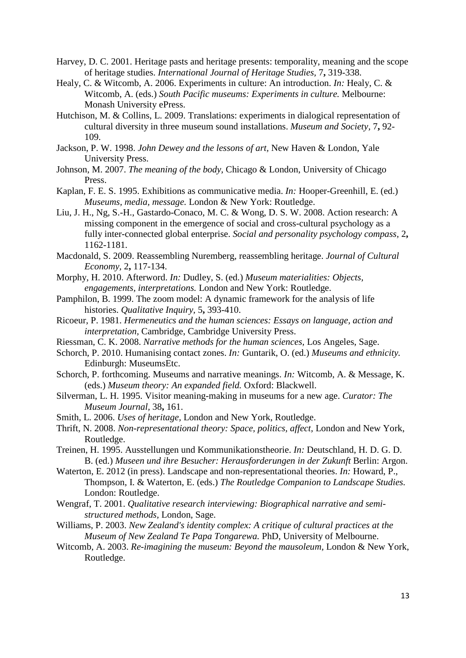- Harvey, D. C. 2001. Heritage pasts and heritage presents: temporality, meaning and the scope of heritage studies. *International Journal of Heritage Studies,* 7**,** 319-338.
- <span id="page-13-8"></span>Healy, C. & Witcomb, A. 2006. Experiments in culture: An introduction. *In:* Healy, C. & Witcomb, A. (eds.) *South Pacific museums: Experiments in culture.* Melbourne: Monash University ePress.
- Hutchison, M. & Collins, L. 2009. Translations: experiments in dialogical representation of cultural diversity in three museum sound installations. *Museum and Society,* 7**,** 92- 109.
- <span id="page-13-6"></span>Jackson, P. W. 1998. *John Dewey and the lessons of art,* New Haven & London, Yale University Press.
- <span id="page-13-2"></span>Johnson, M. 2007. *The meaning of the body,* Chicago & London, University of Chicago Press.
- Kaplan, F. E. S. 1995. Exhibitions as communicative media. *In:* Hooper-Greenhill, E. (ed.) *Museums, media, message.* London & New York: Routledge.
- Liu, J. H., Ng, S.-H., Gastardo-Conaco, M. C. & Wong, D. S. W. 2008. Action research: A missing component in the emergence of social and cross-cultural psychology as a fully inter-connected global enterprise. *Social and personality psychology compass,* 2**,** 1162-1181.
- Macdonald, S. 2009. Reassembling Nuremberg, reassembling heritage. *Journal of Cultural Economy,* 2**,** 117-134.
- Morphy, H. 2010. Afterword. *In:* Dudley, S. (ed.) *Museum materialities: Objects, engagements, interpretations.* London and New York: Routledge.
- Pamphilon, B. 1999. The zoom model: A dynamic framework for the analysis of life histories. *Qualitative Inquiry,* 5**,** 393-410.
- <span id="page-13-3"></span>Ricoeur, P. 1981. *Hermeneutics and the human sciences: Essays on language, action and interpretation,* Cambridge, Cambridge University Press.
- Riessman, C. K. 2008. *Narrative methods for the human sciences,* Los Angeles, Sage.
- Schorch, P. 2010. Humanising contact zones. *In:* Guntarik, O. (ed.) *Museums and ethnicity.* Edinburgh: MuseumsEtc.
- <span id="page-13-4"></span>Schorch, P. forthcoming. Museums and narrative meanings. *In:* Witcomb, A. & Message, K. (eds.) *Museum theory: An expanded field.* Oxford: Blackwell.
- Silverman, L. H. 1995. Visitor meaning-making in museums for a new age. *Curator: The Museum Journal,* 38**,** 161.
- <span id="page-13-0"></span>Smith, L. 2006. *Uses of heritage,* London and New York, Routledge.
- Thrift, N. 2008. *Non-representational theory: Space, politics, affect,* London and New York, Routledge.
- Treinen, H. 1995. Ausstellungen und Kommunikationstheorie. *In:* Deutschland, H. D. G. D. B. (ed.) *Museen und ihre Besucher: Herausforderungen in der Zukunft* Berlin: Argon.
- <span id="page-13-1"></span>Waterton, E. 2012 (in press). Landscape and non-representational theories. *In:* Howard, P., Thompson, I. & Waterton, E. (eds.) *The Routledge Companion to Landscape Studies.* London: Routledge.
- Wengraf, T. 2001. *Qualitative research interviewing: Biographical narrative and semistructured methods,* London, Sage.
- <span id="page-13-7"></span>Williams, P. 2003. *New Zealand's identity complex: A critique of cultural practices at the Museum of New Zealand Te Papa Tongarewa.* PhD, University of Melbourne.
- <span id="page-13-5"></span>Witcomb, A. 2003. *Re-imagining the museum: Beyond the mausoleum,* London & New York, Routledge.